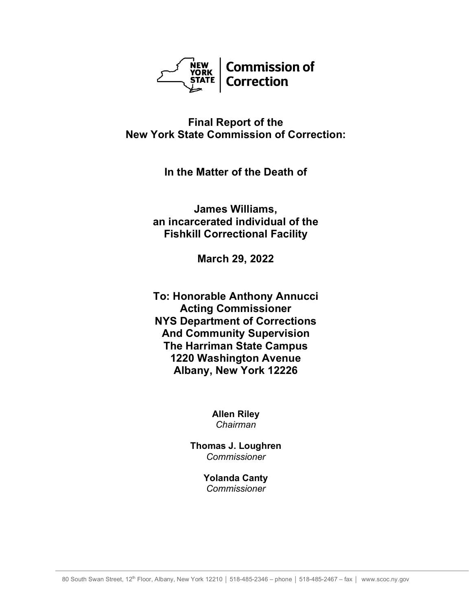

**Final Report of the New York State Commission of Correction:**

**In the Matter of the Death of**

**James Williams, an incarcerated individual of the Fishkill Correctional Facility**

**March 29, 2022**

**To: Honorable Anthony Annucci Acting Commissioner NYS Department of Corrections And Community Supervision The Harriman State Campus 1220 Washington Avenue Albany, New York 12226**

> **Allen Riley** *Chairman*

**Thomas J. Loughren** *Commissioner*

> **Yolanda Canty** *Commissioner*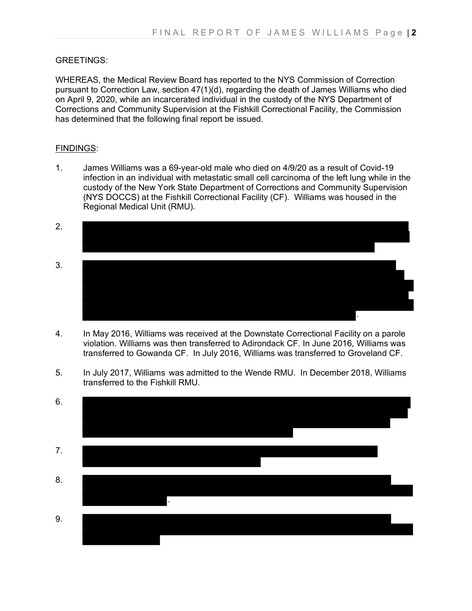## GREETINGS:

WHEREAS, the Medical Review Board has reported to the NYS Commission of Correction pursuant to Correction Law, section 47(1)(d), regarding the death of James Williams who died on April 9, 2020, while an incarcerated individual in the custody of the NYS Department of Corrections and Community Supervision at the Fishkill Correctional Facility, the Commission has determined that the following final report be issued.

## FINDINGS:

1. James Williams was a 69-year-old male who died on 4/9/20 as a result of Covid-19 infection in an individual with metastatic small cell carcinoma of the left lung while in the custody of the New York State Department of Corrections and Community Supervision (NYS DOCCS) at the Fishkill Correctional Facility (CF). Williams was housed in the Regional Medical Unit (RMU).



- 4. In May 2016, Williams was received at the Downstate Correctional Facility on a parole violation. Williams was then transferred to Adirondack CF. In June 2016, Williams was transferred to Gowanda CF. In July 2016, Williams was transferred to Groveland CF.
- 5. In July 2017, Williams was admitted to the Wende RMU. In December 2018, Williams transferred to the Fishkill RMU.

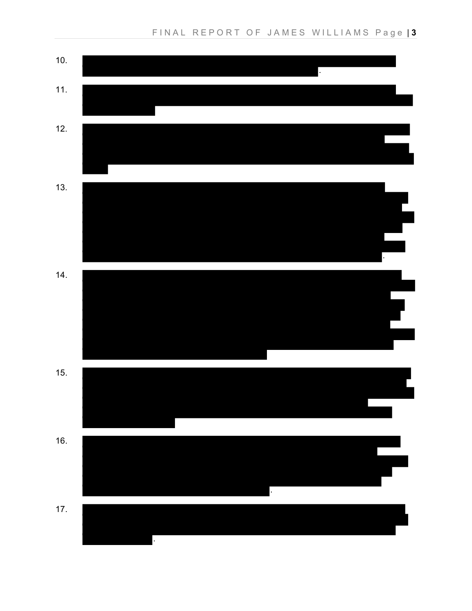